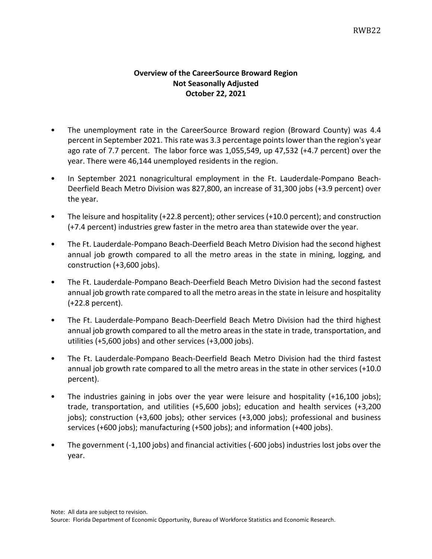## **Overview of the CareerSource Broward Region Not Seasonally Adjusted October 22, 2021**

- The unemployment rate in the CareerSource Broward region (Broward County) was 4.4 percent in September 2021. This rate was 3.3 percentage pointslower than the region's year ago rate of 7.7 percent. The labor force was 1,055,549, up 47,532 (+4.7 percent) over the year. There were 46,144 unemployed residents in the region.
- In September 2021 nonagricultural employment in the Ft. Lauderdale-Pompano Beach-Deerfield Beach Metro Division was 827,800, an increase of 31,300 jobs (+3.9 percent) over the year.
- The leisure and hospitality (+22.8 percent); other services (+10.0 percent); and construction (+7.4 percent) industries grew faster in the metro area than statewide over the year.
- The Ft. Lauderdale-Pompano Beach-Deerfield Beach Metro Division had the second highest annual job growth compared to all the metro areas in the state in mining, logging, and construction (+3,600 jobs).
- The Ft. Lauderdale-Pompano Beach-Deerfield Beach Metro Division had the second fastest annual job growth rate compared to all the metro areas in the state in leisure and hospitality (+22.8 percent).
- The Ft. Lauderdale-Pompano Beach-Deerfield Beach Metro Division had the third highest annual job growth compared to all the metro areas in the state in trade, transportation, and utilities (+5,600 jobs) and other services (+3,000 jobs).
- The Ft. Lauderdale-Pompano Beach-Deerfield Beach Metro Division had the third fastest annual job growth rate compared to all the metro areas in the state in other services (+10.0 percent).
- The industries gaining in jobs over the year were leisure and hospitality (+16,100 jobs); trade, transportation, and utilities (+5,600 jobs); education and health services (+3,200 jobs); construction (+3,600 jobs); other services (+3,000 jobs); professional and business services (+600 jobs); manufacturing (+500 jobs); and information (+400 jobs).
- The government (-1,100 jobs) and financial activities (-600 jobs) industries lost jobs over the year.